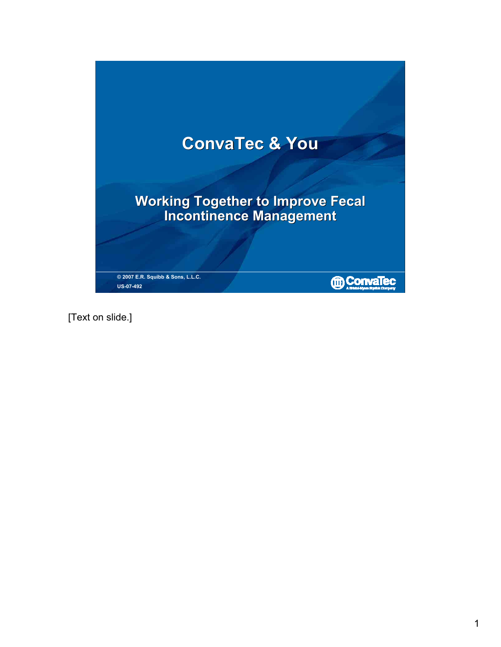# **ConvaTec & You**

**Working Together to Improve Fecal Incontinence Management Working Together to Improve Fecal Incontinence Management**

**© 2007 E.R. Squibb & Sons, L.L.C. US-07-492**

**MOCONVATEC** 

[Text on slide.]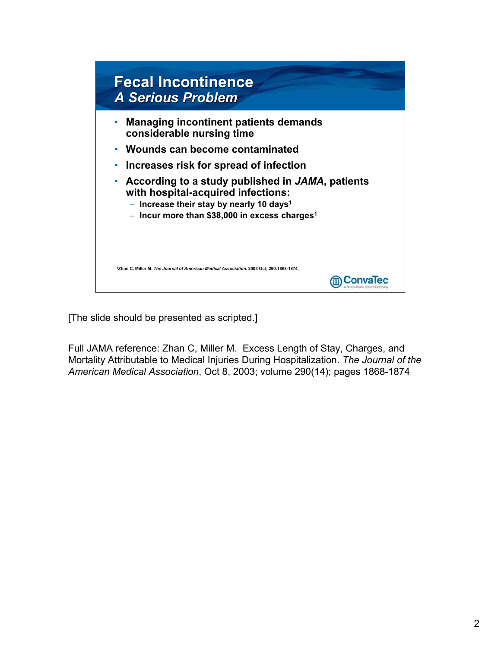

[The slide should be presented as scripted.]

Full JAMA reference: Zhan C, Miller M. Excess Length of Stay, Charges, and Mortality Attributable to Medical Injuries During Hospitalization. *The Journal of the American Medical Association*, Oct 8, 2003; volume 290(14); pages 1868-1874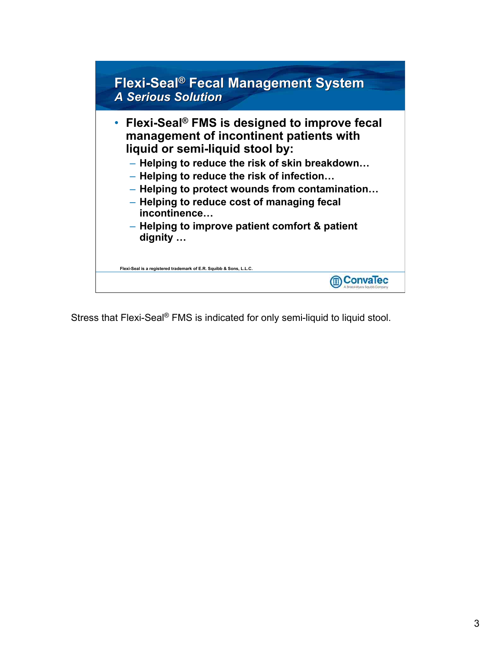

Stress that Flexi-Seal® FMS is indicated for only semi-liquid to liquid stool.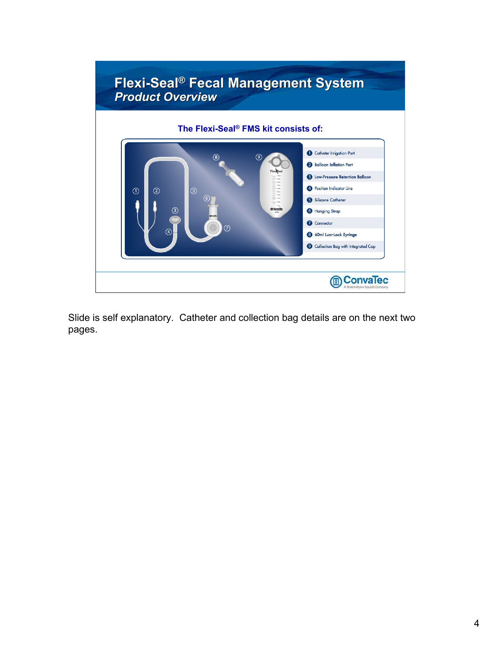

Slide is self explanatory. Catheter and collection bag details are on the next two pages.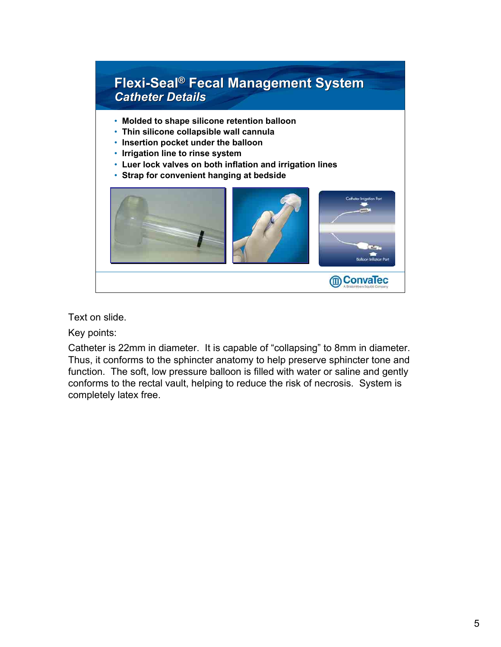

Text on slide.

Key points:

Catheter is 22mm in diameter. It is capable of "collapsing" to 8mm in diameter. Thus, it conforms to the sphincter anatomy to help preserve sphincter tone and function. The soft, low pressure balloon is filled with water or saline and gently conforms to the rectal vault, helping to reduce the risk of necrosis. System is completely latex free.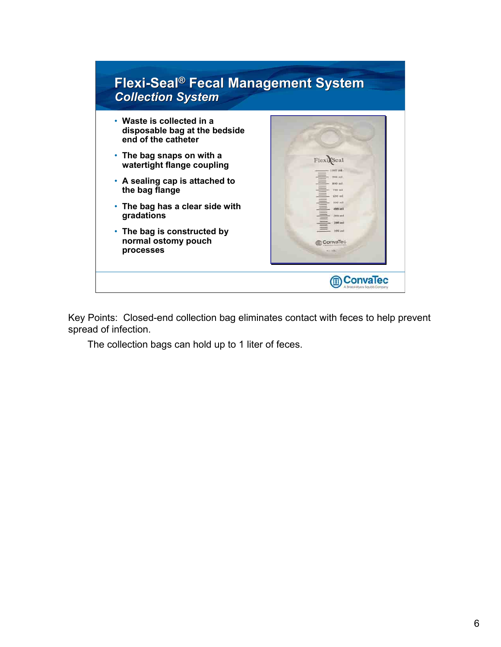

Key Points: Closed-end collection bag eliminates contact with feces to help prevent spread of infection.

The collection bags can hold up to 1 liter of feces.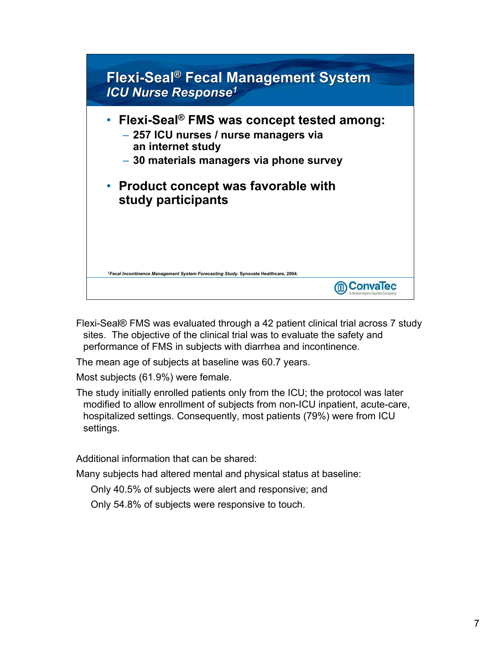

- Flexi-Seal® FMS was evaluated through a 42 patient clinical trial across 7 study sites. The objective of the clinical trial was to evaluate the safety and performance of FMS in subjects with diarrhea and incontinence.
- The mean age of subjects at baseline was 60.7 years.
- Most subjects (61.9%) were female.
- The study initially enrolled patients only from the ICU; the protocol was later modified to allow enrollment of subjects from non-ICU inpatient, acute-care, hospitalized settings. Consequently, most patients (79%) were from ICU settings.

Additional information that can be shared:

Many subjects had altered mental and physical status at baseline:

Only 40.5% of subjects were alert and responsive; and

Only 54.8% of subjects were responsive to touch.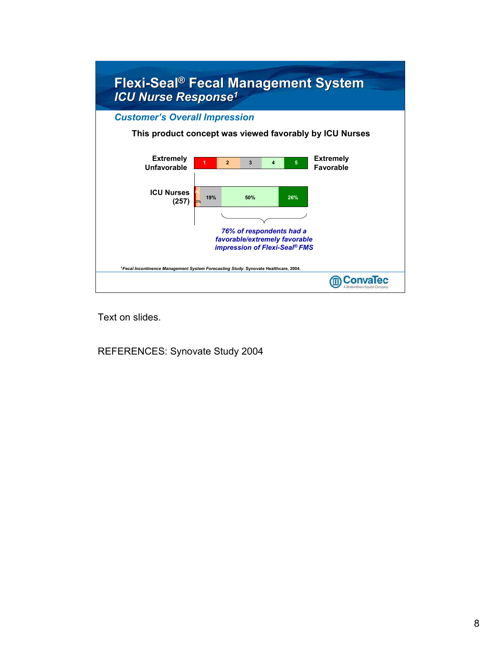

Text on slides.

REFERENCES: Synovate Study 2004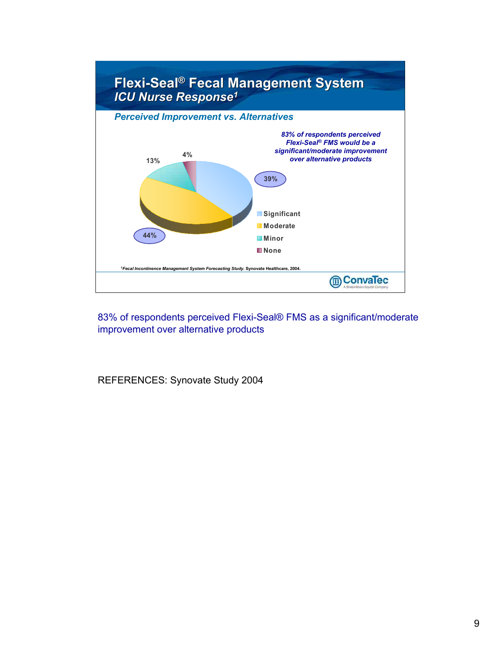

83% of respondents perceived Flexi-Seal® FMS as a significant/moderate improvement over alternative products

REFERENCES: Synovate Study 2004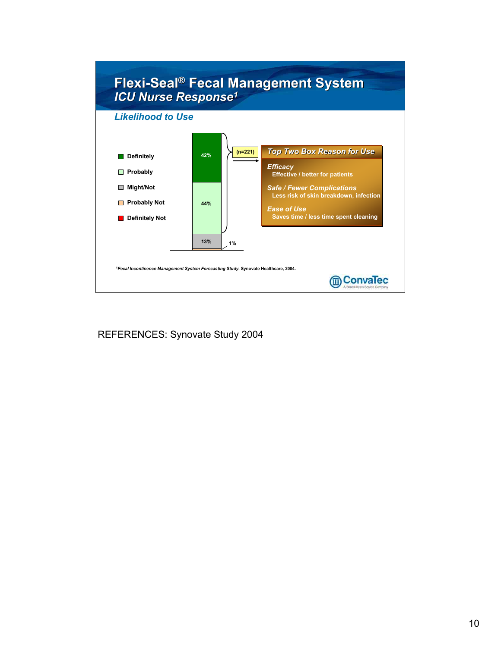

REFERENCES: Synovate Study 2004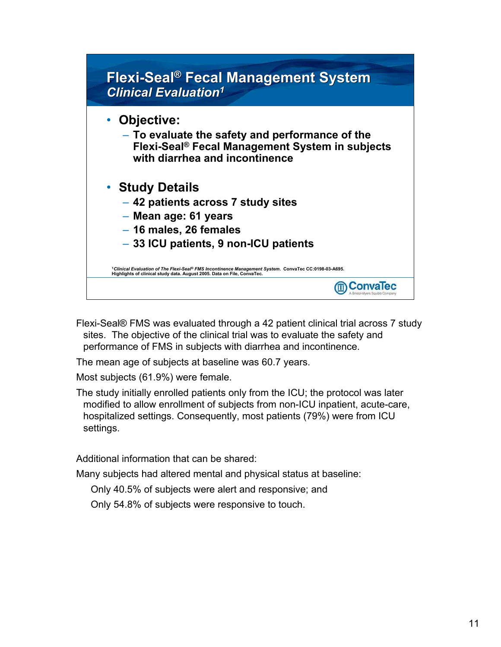### **Flexi-Seal® Fecal Management System Flexi-Seal Fecal Management System**  *Clinical Evaluation1 1*

- **Objective:** 
	- **To evaluate the safety and performance of the Flexi-Seal® Fecal Management System in subjects with diarrhea and incontinence**
- **Study Details**
	- **42 patients across 7 study sites**
	- **Mean age: 61 years**
	- **16 males, 26 females**
	- **33 ICU patients, 9 non-ICU patients**

**<sup>1</sup>***Clinical Evaluation of The Flexi-Seal® FMS Incontinence Management System***. ConvaTec CC:0198-03-A695. Highlights of clinical study data. August 2005. Data on File, ConvaTec.**

Flexi-Seal® FMS was evaluated through a 42 patient clinical trial across 7 study sites. The objective of the clinical trial was to evaluate the safety and performance of FMS in subjects with diarrhea and incontinence.

**m**ConvaTec

The mean age of subjects at baseline was 60.7 years.

Most subjects (61.9%) were female.

The study initially enrolled patients only from the ICU; the protocol was later modified to allow enrollment of subjects from non-ICU inpatient, acute-care, hospitalized settings. Consequently, most patients (79%) were from ICU settings.

Additional information that can be shared:

Many subjects had altered mental and physical status at baseline:

Only 40.5% of subjects were alert and responsive; and

Only 54.8% of subjects were responsive to touch.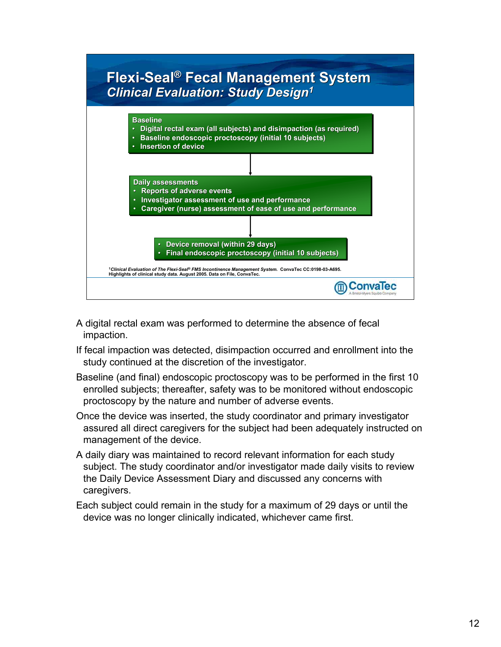

• **Insertion of device** • **Insertion of device**



**m**ConvaTec

- A digital rectal exam was performed to determine the absence of fecal impaction.
- If fecal impaction was detected, disimpaction occurred and enrollment into the study continued at the discretion of the investigator.
- Baseline (and final) endoscopic proctoscopy was to be performed in the first 10 enrolled subjects; thereafter, safety was to be monitored without endoscopic proctoscopy by the nature and number of adverse events.
- Once the device was inserted, the study coordinator and primary investigator assured all direct caregivers for the subject had been adequately instructed on management of the device.
- A daily diary was maintained to record relevant information for each study subject. The study coordinator and/or investigator made daily visits to review the Daily Device Assessment Diary and discussed any concerns with caregivers.
- Each subject could remain in the study for a maximum of 29 days or until the device was no longer clinically indicated, whichever came first.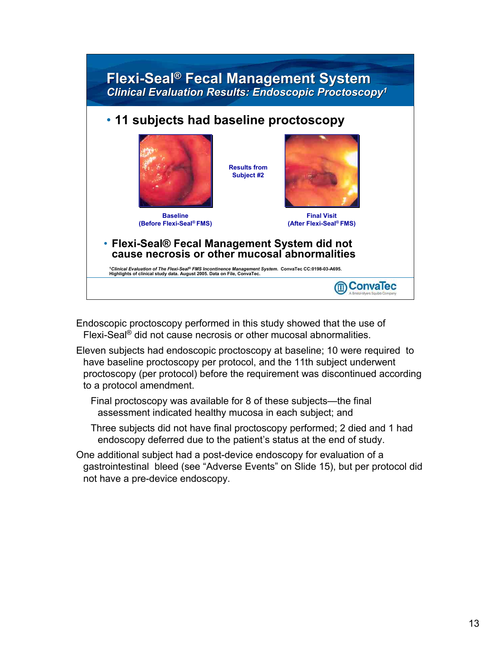# **Flexi-Seal® Fecal Management System Flexi-Seal®Fecal Management System**  *Clinical Evaluation Results: Endoscopic Proctoscopy1 Clinical Evaluation Results: Endoscopic Proctoscopy1*

**Results from Subject #2**

#### • **11 subjects had baseline proctoscopy**



**Baseline (Before Flexi-Seal® FMS)**



**Final Visit (After Flexi-Seal® FMS)**

**m**ConvaTec

• **Flexi-Seal® Fecal Management System did not cause necrosis or other mucosal abnormalities**

**<sup>1</sup>***Clinical Evaluation of The Flexi-Seal® FMS Incontinence Management System***. ConvaTec CC:0198-03-A695. Highlights of clinical study data. August 2005. Data on File, ConvaTec.**

Endoscopic proctoscopy performed in this study showed that the use of Flexi-Seal® did not cause necrosis or other mucosal abnormalities.

Eleven subjects had endoscopic proctoscopy at baseline; 10 were required to have baseline proctoscopy per protocol, and the 11th subject underwent proctoscopy (per protocol) before the requirement was discontinued according to a protocol amendment.

Final proctoscopy was available for 8 of these subjects—the final assessment indicated healthy mucosa in each subject; and

Three subjects did not have final proctoscopy performed; 2 died and 1 had endoscopy deferred due to the patient's status at the end of study.

One additional subject had a post-device endoscopy for evaluation of a gastrointestinal bleed (see "Adverse Events" on Slide 15), but per protocol did not have a pre-device endoscopy.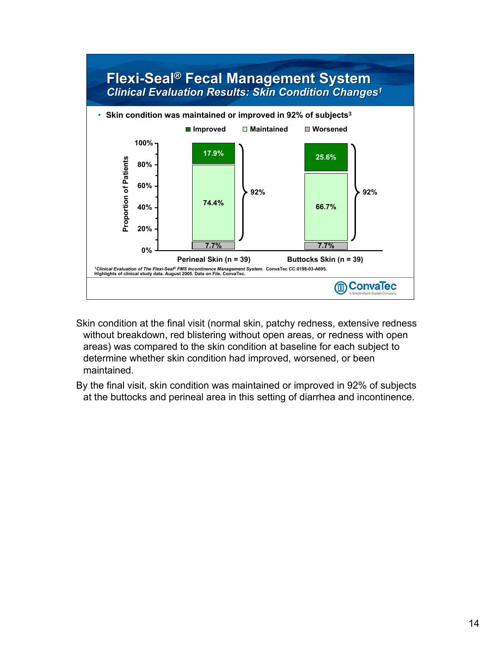

- Skin condition at the final visit (normal skin, patchy redness, extensive redness without breakdown, red blistering without open areas, or redness with open areas) was compared to the skin condition at baseline for each subject to determine whether skin condition had improved, worsened, or been maintained.
- By the final visit, skin condition was maintained or improved in 92% of subjects at the buttocks and perineal area in this setting of diarrhea and incontinence.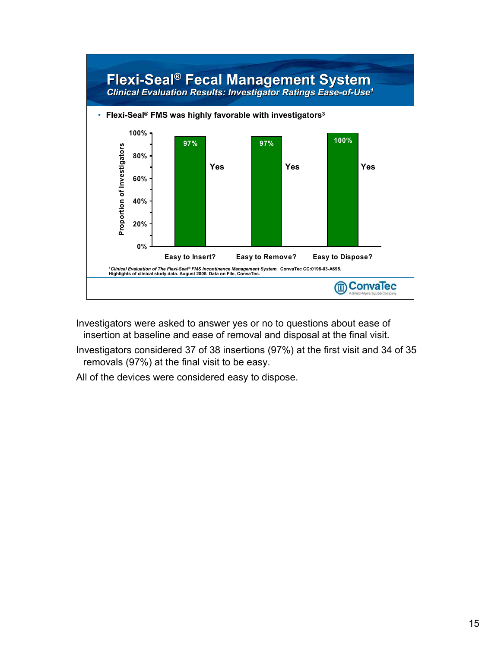

Investigators were asked to answer yes or no to questions about ease of insertion at baseline and ease of removal and disposal at the final visit.

Investigators considered 37 of 38 insertions (97%) at the first visit and 34 of 35 removals (97%) at the final visit to be easy.

All of the devices were considered easy to dispose.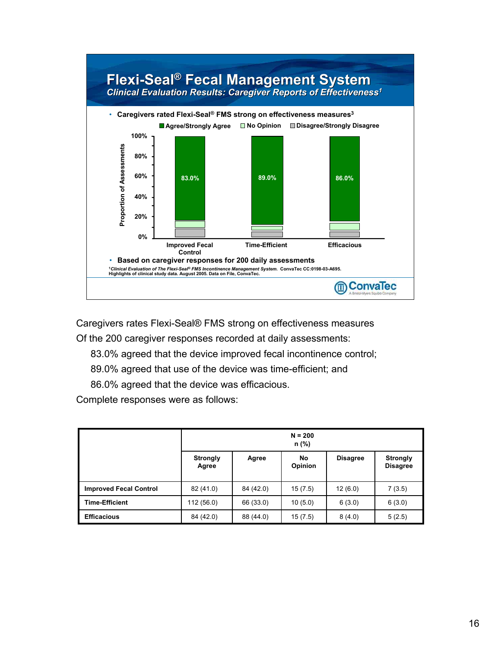

Caregivers rates Flexi-Seal® FMS strong on effectiveness measures

Of the 200 caregiver responses recorded at daily assessments:

83.0% agreed that the device improved fecal incontinence control;

89.0% agreed that use of the device was time-efficient; and

86.0% agreed that the device was efficacious.

Complete responses were as follows:

|                               | $N = 200$<br>n (%)       |           |               |                 |                                    |  |  |
|-------------------------------|--------------------------|-----------|---------------|-----------------|------------------------------------|--|--|
|                               | <b>Strongly</b><br>Agree | Agree     | No<br>Opinion | <b>Disagree</b> | <b>Strongly</b><br><b>Disagree</b> |  |  |
| <b>Improved Fecal Control</b> | 82 (41.0)                | 84 (42.0) | 15(7.5)       | 12(6.0)         | 7(3.5)                             |  |  |
| <b>Time-Efficient</b>         | 112 (56.0)               | 66 (33.0) | 10(5.0)       | 6(3.0)          | 6(3.0)                             |  |  |
| <b>Efficacious</b>            | 84 (42.0)                | 88 (44.0) | 15(7.5)       | 8(4.0)          | 5(2.5)                             |  |  |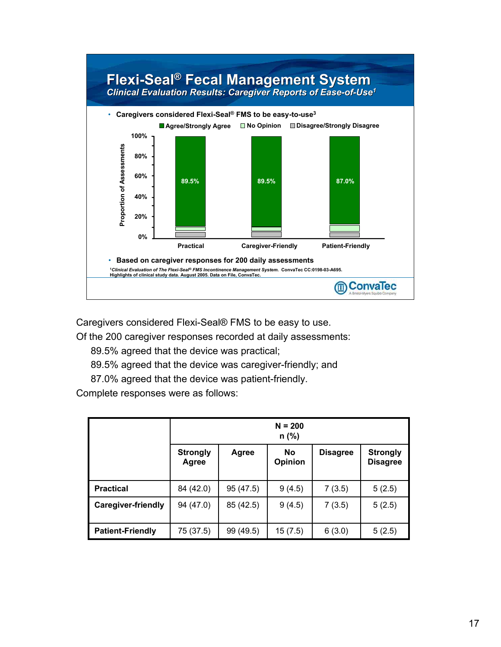

Caregivers considered Flexi-Seal® FMS to be easy to use.

Of the 200 caregiver responses recorded at daily assessments:

89.5% agreed that the device was practical;

89.5% agreed that the device was caregiver-friendly; and

87.0% agreed that the device was patient-friendly.

Complete responses were as follows:

|                           | $N = 200$<br>$n$ (%)     |           |                             |                 |                                    |  |  |
|---------------------------|--------------------------|-----------|-----------------------------|-----------------|------------------------------------|--|--|
|                           | <b>Strongly</b><br>Agree | Agree     | <b>No</b><br><b>Opinion</b> | <b>Disagree</b> | <b>Strongly</b><br><b>Disagree</b> |  |  |
| <b>Practical</b>          | 84 (42.0)                | 95 (47.5) | 9(4.5)                      | 7(3.5)          | 5(2.5)                             |  |  |
| <b>Caregiver-friendly</b> | 94 (47.0)                | 85 (42.5) | 9(4.5)                      | 7(3.5)          | 5(2.5)                             |  |  |
| <b>Patient-Friendly</b>   | 75 (37.5)                | 99 (49.5) | 15(7.5)                     | 6(3.0)          | 5(2.5)                             |  |  |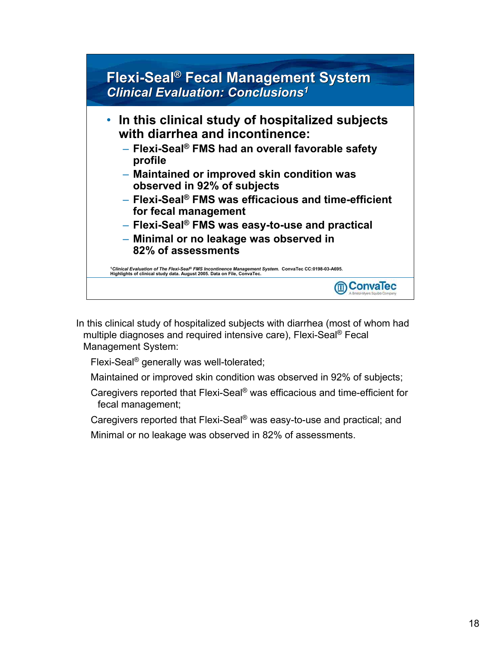## **Flexi-Seal® Fecal Management System Flexi-Seal Fecal Management System**  *Clinical Evaluation: Conclusions1 Clinical Evaluation: Conclusions1*



In this clinical study of hospitalized subjects with diarrhea (most of whom had multiple diagnoses and required intensive care), Flexi-Seal® Fecal Management System:

Flexi-Seal® generally was well-tolerated;

Maintained or improved skin condition was observed in 92% of subjects;

Caregivers reported that Flexi-Seal® was efficacious and time-efficient for fecal management;

Caregivers reported that Flexi-Seal® was easy-to-use and practical; and Minimal or no leakage was observed in 82% of assessments.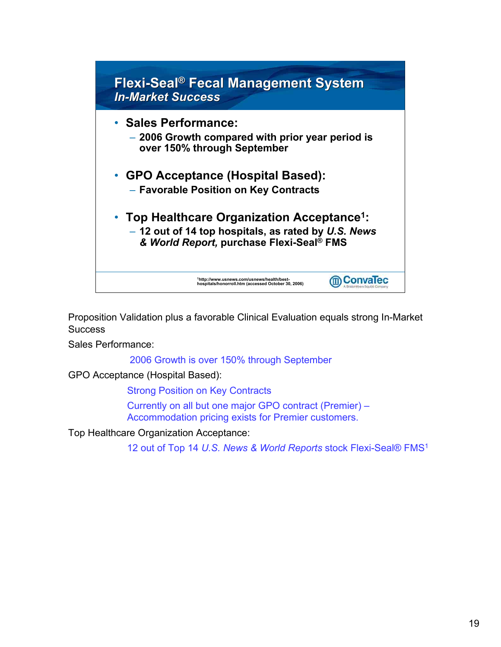

Proposition Validation plus a favorable Clinical Evaluation equals strong In-Market **Success** 

Sales Performance:

2006 Growth is over 150% through September

GPO Acceptance (Hospital Based):

Strong Position on Key Contracts Currently on all but one major GPO contract (Premier) – Accommodation pricing exists for Premier customers.

Top Healthcare Organization Acceptance:

12 out of Top 14 *U.S. News & World Reports* stock Flexi-Seal® FMS1